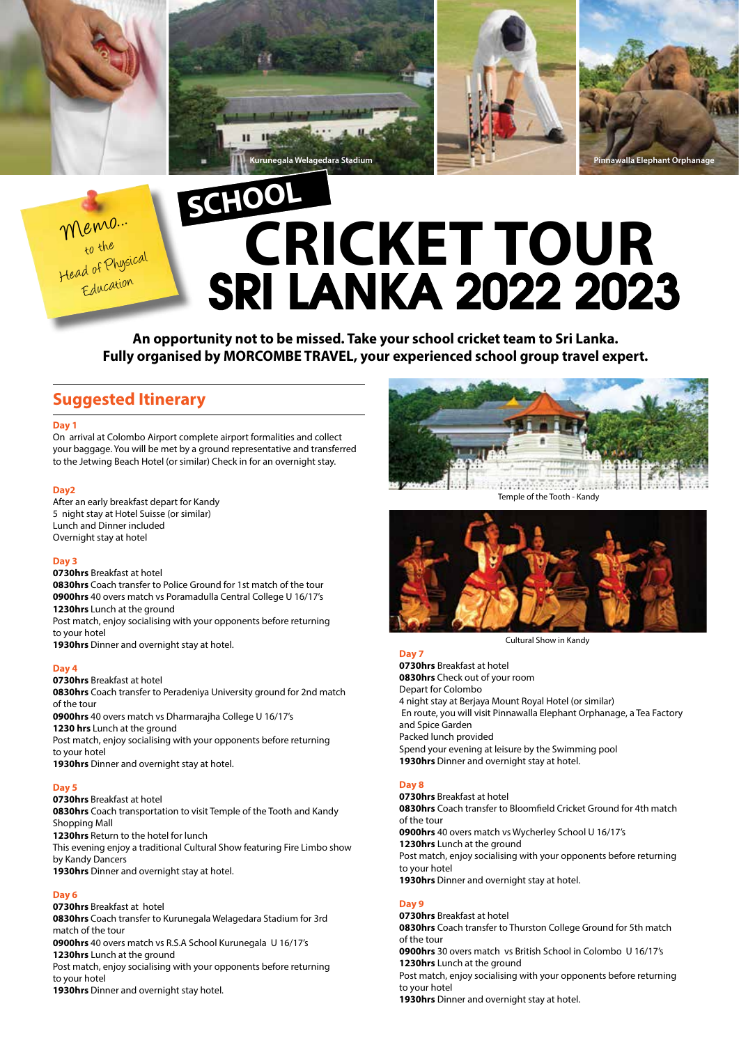

Memo... to the Head of Physical Education

# **CRICKET TOUR** SRI LANKA 2022 2023 **SCHOOL**

**Kurunegala Welagedara Stadium Pinnawalla Elephant Orphanage**

**An opportunity not to be missed. Take your school cricket team to Sri Lanka. Fully organised by MORCOMBE TRAVEL, your experienced school group travel expert.**

# **Suggested Itinerary**

#### **Day 1**

On arrival at Colombo Airport complete airport formalities and collect your baggage. You will be met by a ground representative and transferred to the Jetwing Beach Hotel (or similar) Check in for an overnight stay.

### **Day2**

After an early breakfast depart for Kandy 5 night stay at Hotel Suisse (or similar) Lunch and Dinner included Overnight stay at hotel

### **Day 3**

**0730hrs** Breakfast at hotel

**0830hrs** Coach transfer to Police Ground for 1st match of the tour **0900hrs** 40 overs match vs Poramadulla Central College U 16/17's **1230hrs** Lunch at the ground

Post match, enjoy socialising with your opponents before returning to your hotel

**1930hrs** Dinner and overnight stay at hotel.

### **Day 4**

**0730hrs** Breakfast at hotel **0830hrs** Coach transfer to Peradeniya University ground for 2nd match of the tour **0900hrs** 40 overs match vs Dharmarajha College U 16/17's **1230 hrs** Lunch at the ground Post match, enjoy socialising with your opponents before returning to your hotel

**1930hrs** Dinner and overnight stay at hotel.

### **Day 5**

**0730hrs** Breakfast at hotel **0830hrs** Coach transportation to visit Temple of the Tooth and Kandy

Shopping Mall

**1230hrs** Return to the hotel for lunch

This evening enjoy a traditional Cultural Show featuring Fire Limbo show by Kandy Dancers

**1930hrs** Dinner and overnight stay at hotel.

# **Day 6**

**0730hrs** Breakfast at hotel

**0830hrs** Coach transfer to Kurunegala Welagedara Stadium for 3rd match of the tour

**0900hrs** 40 overs match vs R.S.A School Kurunegala U 16/17's **1230hrs** Lunch at the ground

Post match, enjoy socialising with your opponents before returning to your hotel

**1930hrs** Dinner and overnight stay hotel.



Temple of the Tooth - Kandy



Cultural Show in Kandy

### **Day 7**

**0730hrs** Breakfast at hotel **0830hrs** Check out of your room Depart for Colombo 4 night stay at Berjaya Mount Royal Hotel (or similar) En route, you will visit Pinnawalla Elephant Orphanage, a Tea Factory and Spice Garden Packed lunch provided Spend your evening at leisure by the Swimming pool **1930hrs** Dinner and overnight stay at hotel.

# **Day 8**

**0730hrs** Breakfast at hotel **0830hrs** Coach transfer to Bloomfield Cricket Ground for 4th match of the tour **0900hrs** 40 overs match vs Wycherley School U 16/17's **1230hrs** Lunch at the ground Post match, enjoy socialising with your opponents before returning to your hotel **1930hrs** Dinner and overnight stay at hotel.

# **Day 9**

**0730hrs** Breakfast at hotel **0830hrs** Coach transfer to Thurston College Ground for 5th match of the tour **0900hrs** 30 overs match vs British School in Colombo U 16/17's **1230hrs** Lunch at the ground Post match, enjoy socialising with your opponents before returning to your hotel **1930hrs** Dinner and overnight stay at hotel.